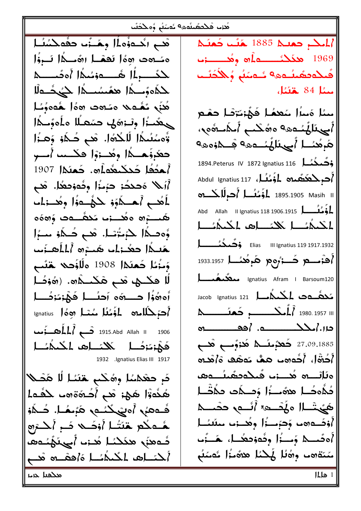## هُذا فَكَحَصَّنُوهِ ثَوْمَنُو وُوَكَحَ*نُ*ا

هَم انْدَهْوْه أَا وِهُـزُم حَقَّهَكْسُلًـا دَسَده وَدُا نَعْصًا الدَّسَـٰٰا لَـٰـِزْاً لِلْمُوَوِّسِيْهِ | مَعْسَسِيْهِ | مَيْجُسُمُا هُنَى مُعْدِينَ مَنْعَدَ هَذَا خُدَوْنُنَا حافْسوْه اللْعض بله الله أسْتَعْرِ وّْوَسُلُما لَلْكُلُّوا. هُم حُـكُوْ وَهـزُا حعَرِفَهِكُمْ وِهُدْوَا فَكَسْبَ أُسْبَرَ أَهْدُهُا حَكْكَمْهُا 1907 حَمْدُا 1907 آرَلا ۚ وَصَدَدَ حَرَمَٰٓ ا وَشَوْدِهُدَا. ۚ هُم أُهُبِ ٱهْكُوَٰٓوَ كُهُّدُوٰۤا وَهُدَاتَ هُمِسْرُهِ وَهُسْدَمَا مُحَصَّدَتَ وُ30وَ وُّەھــدًا ۖ جَزْءتُنَــا. ۚ قَصَـ صَـٰدَٰوۡ مِسْرَا هَدَدًا حَجَّـزلما هَيْـرْهِ ٱلْمُلَّعِـزَمَا وَٰٓدُٰٓئِا حَٰمَلَاا 1908 هِ لَٰٓاؤُۡحِد هَنَّب لًا فكُــــها مَّـــم هَكَــــكُلها. (هُوْضُــل أَههُوَا حــــهُه اَحنُـــا فَهْزَمَزْحُـــا أحرَكْلامِهِ لمُؤْمُلُا مُمْسًا « Ispatius loo ا 1915.Abd Allah شَبِ الْمَلْمُسَذِّمِينَ فَهْنِتْرَضُــل لَلْكَسَــلِّ عَلَيْكُمُنَــل 1932 .Ignatius Elias III 1917 ضَ حقدَسُا وِهُكُم مَنَسًا لَا هَصْلا هُخُورَ السَّنْ هَجْ شَيْ أَحُدَّةَ وَ السَّنَّةَ عَلَى السَّنَّةِ مِنْ فْــومَـٰى أوبْــكْــُــمِه مِنْــمَـــا. كَــكَمْوْ هُـءكُم هَنَتُـا أَوْحُــد صَــ أَحْــرَهِ ضُمحنَى حدَكتُ الحُدَبِ أَجِيدَهُنَّـمِ

أحناها لمكتفئا ةاققت هب

ألملك حملك 1885 هَنْبَ جُمِنَكُمْ 1969 محككئىسىملە ومُحسىنە فَتَحْدَدَهُنَّـدَهِ ۚ شَدَيْبُ ۚ وَلِلْأَدَيْتَ مىئا 84 ختتا، سئا ەَساُل سَعمًا فَهُنتوْسًا حقـْع الرەشىلىداً بىنگاش ھەمىلوللىرىداً صُومَهُمَا أَمِيحُلْهُمُ مُسْمَدِينَ أَسْتَمِيمَ Abdul Ignatius 117 ، اوْمُلُم Abdul Ignatius 117 اا 1895.1905 A مُوْمُنُسا أُحرِلًا كُسِرِي Abd Allah II Ignatius 118 1906.1915 لمكتفئها كلتهاها لمكتفئها أُهْنُوسِ جَدَّرُهُمْ هُوَهُنَا 1933.1957 Accob Ignatius 121 LALACO 01/11/2 0 27.09.1885 كُعْبُرِمَـْكُمْ هُنْوُمِـــمِ هُـــمِ أَحُرْثُا، أَحُوهم همْ عَوْهِ وَٱهْدِهِ ەئاتىس ھىزىي قىلدىقىئىسەھ صُفْه صُلْ هِهُ سُزُل وَصِـٰكُ صَلَّاتُسْتَلَمْ أَوْصَـٰـٰ0ما وَحَزِّــٰٓءَا وِهُــٰٓءَا مَلَّلُنُــا أُهفَسِيمْ وَسَنُوا وِقُودِهِصًا، حَسَنُوب مُنَةهم وهُلًا لِمَكْلًا هَدُمَةُا خُمْدُ

محجوا حربر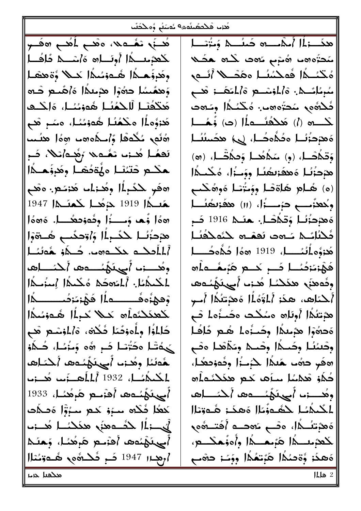## هُدَت فَكَمَفُتَمَاهِ وُمَكْنُ وُمِكْضُلُ

هُنّفٍ تَعْنَفُلا، وقْتم لَمُعُنّفٍ وَقَنسٍ لَحْعَبُرِينِيهُ) أُوِيَّاهِ وَأَسْتَيْهِ قَافُيَا وهُدِؤُهِكُمْ هُدَوْسُكُمْ كَلْمَلاً وُةَهِهَا وَهِمَسُلِ حَمُوْلِ هُزَيْتِهَا وَأَهْتِ حَتَّ هَكَدُنَــا لْلَكْمُنُــا هُءنُنُــا، هَالْحُــْد هَٰذؤِهِ أَلْمَ مَكْمُلًا هُوَوْنُنَا، وَسَّعِ هُم ھُلُّم مُكْمُقَا وُٱسكُّەھە ھِەُا ھلُسا ئعمُـا هُـز، نَمُّـه\ رُهُّـه\نَـلا، ضَـرِ هكـــم حَتْنُـْــا ههْقَصَّـا وهَرْفَــمَـــدًا «فَہِ حَدَّـہِ) وِهُـٰہَـٰد هُنہوں وقع هَنْدُا 1919 جَمُعَا كَمِنْدَا 1947 ههُا وُها وُسْسُوًّا وِثَعَوْدِهُسْسَا، ﴾ هزحزُنُـا حَكَـرِـاًا وَٱوْحَكَــــم هُـــوْوَا أَلمأَمحت حكَّــة من. حُــذَةِ حُقَنُــا لمُحَمِّيْلِ. أَلْمَحْمَدُ هُكْبِدًا إِسْتَخْبَطُ وْهِهْزُهْڤَــــــــه∫ا هُهْنِمَرْضُـــــــــدُّا لَاتَعْتَلَاتُهُ أَنْ يَا كَلْمَ أَلَّا هُـوَزْنَتُمُ ا حَالمُوْا وِلْمَوْصَّا شَكْفَ، وْالمُوْسْعِرْ هُمْ حَكُمْتْـا مَكْتُسًا ضَـمٍ هُء وَحَتُمْـا، كَـكُوْ هالنكمأ معطيهنهيها أحنحه ومحاشفه لمَحْمَمُــا، 1932 أَلمَلْعــزَىب هُــزى كَتْݣَا ثَكْلُه سَبَّرْ كَتْتُو سَبّْرْاً ةَصْلَات لْجَهْدَأَا لِحُصَّدِهِ مِنَكْسًا هُــزم أَحِيدُهُنُوهِ أُهْبَسُو هُرِهُنَا، وَحَذَٰذَ أرمجار 1947 ضَرِ فَكُمُوهِ هُـدَارَا

هدَجَاًا أَمِدْكُمْ دَمُكُمْ وَمُتَوَسَّلًا مُحَدَّەها هُمْزِم مُهِ كَالله هَجُمْ هُكْسُــدًا فُعكْسُلْــا مِكْسَــلا ٱلَــعِ سُرِمُائِكُ، 1،6فشعر 1،6مَصَّعَ هُجَم ئَكْتُوهِ مُحَتَّوهِم. هُكْنُــدًا ومُــهِ ەَھرَحزُنُــا ەكھەكى لىنْ ھكىننْــا وَقَدُٰقَــا، (و) مَكْافُــا وَعِدُّقَــا، (٥) هزحزُنا هَهِ اللهُ أَوْ أَوْ أَوْ مُكْتَبَا (ه) هُـام هَاةمْـا وِوِّـٰتُـا هَوِهُكُــم وِكْعِدْوَسِبِ حَرِّسِيزًا، (11) مِتْقَوْتِمُنَسَلِ ەَھزِدْتُا وَقَدَٰصًا. هئـA 1916 ضَم ئَكْنُائَــك سَــْ00 نَعْقَــْ0 كَنُمْكَفُـُـلْ هَٰذؤُه لِمُنُـــــل، 1919 هوُا حُكُوحُـــــل فَهْبَنَرْدُسُا ضَبِ كَسْعِ هَبُسْسَمَاه وثَوهبُ هِذَكْسًا هُذِمَ أَحِيدَهُمُوهَم أَهْدَاهِ، هِدَ ٱلْمَوْمَٰاْلِ هَهْنَدُا ٱُب هِ ۡتِنۡدُا أُوِنَاهٖ مِنۡدُد مَحۡـَّوۡء ُ صَـَ هَدهُوْا هِبْعِدًا وحُــزُّه1 هُــم مَّاهُـا وحْننُنا وحُـــدًا وحْـــد وحُذْهَـا هجْــم هَ حَوْمٍ هَلَدًا جَزَمَ أَوْ وَهُوَ مِعْدًا. كُلُّوْ هَدْسُلْ سِلَّاهَا كُلُّهِ هَذَكْتُمْلُّيْهِ لمَكْتَكَمُنَا لِحَقَّدَوْمَا وَمَعَدَ هُدَوْنَا ا ەَهزَىنىگا، ەئى مەھىم أَھُتىھُى كَعبِّنسِـدًا هَبُنمــدًا وأُوزُهكـــع، هُهذَ: وَّةَصَدًّا هَبَّتَعُدًا وِوِّسَّا صَهْب

محجوبا حربر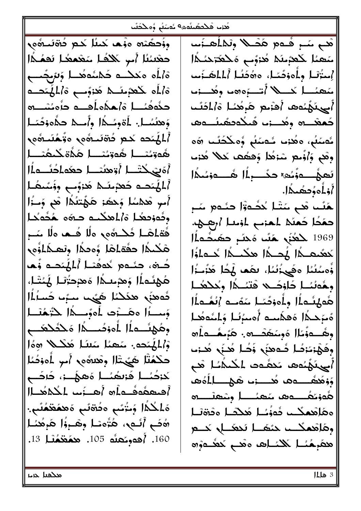| ھُنو قَطْعَعُمْلُوھ <sup>و</sup> ئومَنلُم وُوطْحُلُ |  |  |
|-----------------------------------------------------|--|--|

ووُحعُثه هوْها لَمْلًا لَحْمَ حُقْلَتْهُمْ حعْننُا أَ~ لَلاَفَا مَعْمَعُا نَعْمَلُا ةُالمَّه هكَلَـــه كَلْمُنْهفُــا وَنَرْبِكُــــم ةُالمَّا حُكْثَرِمَنْــدْ هُزْوِّىـــ وْالْمُحْـــد حذُهُفُـــا هُ/هجُو أُهـــه حزَّهنُنْـــه وَهنُسُــا. ۖ ـأَةوسُــدًا ۖ وأُســدا حذَّهوَصَّـٰـا مِ مِثْلَهُ مُعْدَّدَةً مِنْ مَتَّامَةً مِنْ مَسْلَمَةً هُەوْنْسْط هُەوْنْسْط هَٰذْة كُىھُسْط أَهَيْكُتْــا أَوْهشَــا حَعَماحُنُــماُا ٱلمُمَّدَةَ جُعَبُنَـٰهُ هَٰزَوِّنَـٰ وِوَٰنُنَّمَـٰا ۖ أُسِ هَدْسُا وَحَصَّرَ صَهَّتَتُدًا هُمْ وَسَٰرًا وثَەزىعُدا ةُالمحكَّىــە ھەدَە ھُتُەحُدا فَقلهُا مُحْتَوُهِ وَلَا قُـمَ وَلَا مَـٰـَمِ هَكْـدًا حفَّقاهَا وُءحدًا ونْعـدَاوْهِ حُــة، حـنَــهم نُدهُنَــا أَلمَلْنَحــه وُـعا هُهْنُـه أَا وُهْمِنــدًا وَهْرَحَتْنَـا لَمِيتَـا، هُوهنَ هِدَهُمْ هَيْءَ مِنَ ضَارَاً! وَمسأل هِ صَـٰٓدَت لِمَا وَمِـــداً لِتَنَعْسَــا وهُهِنَـــه أَا أَهوْضُــــهُا هَـحْثَحْقَـــمِ وْٱلْمُحَدِّ. مَعْمَا مَللًا هَٰذَلا هِءَا حكْمُتْا هَيُحْبَا وِهْسْهِ ﴾ أَسِ ـأهوْضُا كَرْحُنُــا فَرْبَعُنُــا هُـعِهُــز، خُلاَجُـــع أَهتعفُوفُــواْرِه أَهــزَب الْحُدْهُــاا ەَۦلگَدَا وَڂُٸُؠ ەدُةلُب ەَھڡۡقَعۡلَىب. هُصَّ ٱلۡـُم ٖ، هُٰٓ:وۡسَـٰا وِهَـٰبِوَٰا هَٰبِعُنَـٰا 160. أَهومُكلُّه 105. محمَّقَتُمُثَـلُ 13.

قبى سُمّ قُدِم هَدْلًا ولْكَلُّصَّةُت سَعِمًا لَكَعْبُنَكُمْ هُوَبَى مَكْعَدَكُمَا إَمِتُرْلَى وِلْمَوْضَبَا، مَمُوَّنُى ٱلْمَلَّصَّرَٰب مَنصَلًا لَمِنْكُمْ أَنْتَسَمُوهُ وَهُنْدَتَ أَسِيدَهُنُوها أُهْبُطِ هَرِهُنـٰا وْالْمَنْت كَمَعْدُ وَمُدْنِي قَبْلُهِ صَفْدَتُ وَهَ ئەمّلُە، ەھُزىي ئىممّلُو ۋەڭگەنىي ، ئە وقع وَأُؤْمِع سْرَهُا وَقِعُفَ كَلَّلا هُزَمَ |نُعِجُـــوزُنُعِ حَكَـــراً| هُـــوزِنُنِكَا| هَنَّب هُم مَتْلًا خُدُّدوْا كِنَّدَمْ مَمَّ حمَحُا حُمنَه لمعنى لمؤمنا أرهبه. 1969 لحَقَنَى هَنَّت هَدَئَمِ حَقَيْدُولُمُ كَعْبَدْ الْمُحْتَدَا حَكْسَدًا خَبْدَاؤُا وْمِسُلُمْ مِهْيَٰٓزُلُمْ، بِضَعْمِ لِلْمُلْمِنُوْمِ لِلْمُنْصَرِّرَ وهُوبُسًا حَاوْحَـــد قَتَسَــدًا وحُكْعُــا الْمِهْلُواْ وِلْمَوْضَعَا مَدَّسُو إِنْشُواْا دُمَ حَكَمَ الْمَحَمَّسِدِ أَوْسَرُنَا وَامْتُوهُا وهُـــوزُمَال وَمِمْعَمْــــرِهِ . هَرُمِــْمَـــولُرِهِ وفَهْنِتَوُا شَوهيَّ وَوُا هُنَّى هُنَّ أَسِينَهُمْكَ مَحَمَّدَت الْمَلَّكَمُ لَهُ مَنْهُمْ مَنْ وَوَهُدَهُـــــــــــــــــــــــــزت هُــمـــــــــالمُ هُـ هُوزِيَهُ وهو سُعِيُنَ أَوْسُعِيْنَ مِنْ وهَاهُمكُــد ثُوزُسُــا هُكْسَـا وثَوْقَــا وهَاهْمَكْـــا حَنَفَــا نَحْفَــلِهِ حَـــع معَمِمُنا لِلْنَامِهِ وَهُم نَعْشَوْرُهِ

مححفظ حرم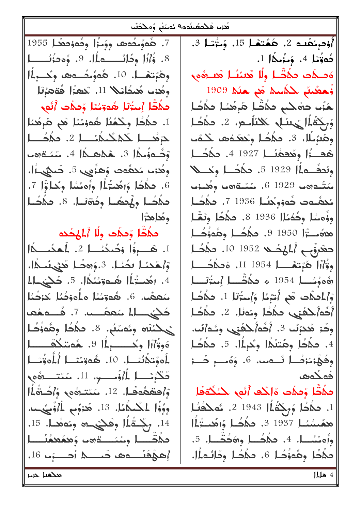| هُذِب قَلْحَقُبِنُوهِ نُومَنُهِ ۖ وَوَجْحَتُب                                                        |                                                            |  |  |
|------------------------------------------------------------------------------------------------------|------------------------------------------------------------|--|--|
| 7. هُدَوِّىتُده ووَمَٰ;َا وِثَدَوْدهُما 1955                                                         | أُوْدِيَكُكُ 2. هُمُّتَهْا 15. وُيُّتْا 3.                 |  |  |
|                                                                                                      | فُدَوُّمْا 4. وُمُزْمَكَا 1. [                             |  |  |
| وهَبْتِمْــا. 10. هُـُوْمِثْـــوها وكْـــزِلْمَا                                                     | ەَصـكُات صكْتُــا ولَا هُتنُــا هُتــوُه                   |  |  |
| وهُذب هُددُانَــلا 11. كَتْعَزُا فَقَصَرُنَا ۖ                                                       | وُهِعَيْنَ كَذَبِيهِ هُوَ هَذَا 1909.                      |  |  |
| حكْظًا إِسْتَالًا هُوتِسْلَ وَحِكْتِ ٱلْعَ                                                           | هُنُّ حوُكم حدُّقا هُرِهُنَا حدُّهُا                       |  |  |
| 1. حكْحًا وِخْعُبًا هُوزِيُبًا هُو هَرِهُنَا                                                         | وَرِجَةَ أَل حَمِينَا لَمَحْتَ الْمَعْرَ، 2. حَدَّدُ ا     |  |  |
| حرَمُـــا حَمَحُـمُـُـــا 2. حمُحُـــا                                                               | وهَبْمِلَل، 3. حكْصًا وتحجَّمُها لْكُمُت                   |  |  |
| وْشُـەؤْمەْل 3. ھْـەھــەْل 4. مْمْـة ھە                                                              | هُهِــزُا وِهُهِمُنْــا 1927 4. حِكْحُــا                  |  |  |
| وهُذب مُحقَّقٍ وَهِنُّونَ 5. شَمِيْتُمْاً.                                                           | ونَحفُــمأَا 1929 5. مكْتُــا وحُــــلا                    |  |  |
| 6. حِكْحًا وَاهَيْتُٱلْ وِأَوْسُلْ وِيُحَاوَّلِ 7.                                                   |                                                            |  |  |
| حكْصًا وهُحصًا وحُوْصًا. 8. حكْصًا                                                                   | مُحمَّــوت شُووِجُنُــل 1936 7. فجُاضُــل                  |  |  |
| ومُعاهد السيس السيس السيس السيس السيس السيس السيس المسيس السيس السيس السيس السيس السيس السيس السيس ا | وِوْْهِمُا وَحُمُّمُاْ 1936 8. حِكْحُا وِلْغُـا            |  |  |
| حكَاتُمْ وَحكَاتِ وِلَا }£لكِحَاتِ                                                                   | هدَّم شَرْ 1950 9. حكْصًا وهُوَدُكَ                        |  |  |
| 1. هَـــِزْا وْحُبْثُــا 2. لَمْكَــــدًا                                                            | حعْرَوْبِ ٱلْمُصَّدِدِ 1952 10. حَدَّصًا                   |  |  |
| وْ/هَدْمَا بِحَمَا. 3.وَرَوْهَا هَيْجِيْبِكَمْا.                                                     | ووّْأَأَا هُبَتْمُـــا 1954 11. ەَحكْصُـــا                |  |  |
| 4. (هُدْتُوْلُمْ هُدْوَنْتُمُّا. 5. كَحْيَى لِمَا                                                    | رْهُودُكُمْ لِيَدْ 1954 * حَكْتُكُمْ إِسْتَرْتَسْكُمْ      |  |  |
| سَٰعِفَ. 6. هُوتِنْا وَأُوتُنَا كَرْحُنَا                                                            | وْٱلْمَدْهَ هُمْ أَنْتَرْمُلُ وَٱِسْتُرْقُلُ 1. حَذْهُـٰلُ |  |  |
| حَكِي المستقصص 7. فُسمعُها                                                                           | أَحْهَٰأَ كَفَنِي حَذْكًا ومَهلًا. 2. حَذْكُمْ             |  |  |
| يُحْمَلُه وِنُمَنَّهُ. 8. فَخُذًا وِقُوَوَٰدًا                                                       | وجَز هَدَرْنَت 3. أَحْمَلُكْفَنِي وِشَمْالُف.              |  |  |
| ِّ هُوَوْاْلُ لِمَكْسِيرِيْلَ 9. جُمْعَتْخُفْسَـــا                                                  | 4. حكْحُا وهَتْنُكُا وِكْبِـلَاا. 5. حكْحُـل               |  |  |
| لَمَوۡتِكُلُنۡـــا, 10. ۿُمَوۡتَــْــا ٱلۡمَوۡتَــا                                                  | وِفَهْبَنَرْصًا لُـــٰء… 6. وَهُـــرٍ ضَــَـٰ;             |  |  |
| صَحْبُسْهَا ﴾أوْسِبِ. 11. مَمَّتَـــوْهِ                                                             | فمكمف                                                      |  |  |
| وْاهِقْهُوهْا. 12. مُمَّتْتُوْهِ وْاَحْدَّقْا                                                        | حكْظًا وُحكُّص ةَالْكُفْ أَنُّقٍ لَكَنْتَقْعَلْ            |  |  |
| ووُوَّا لِلْكَلاِكْلِ. 13. هُدَوِّبِ لِمَاوَّنِيْكِ.                                                 | 1. حكْحًا وَرِجْةُ1ُا 1943 2. مُحكْفُلًا                   |  |  |
| 14. مِكْتُماً وِقْحَى مِنْهِ مِنْهِمْهِ. 15.                                                         | <b>همَسُنُــا 1937 3. حكْصُا وَاهُنــتْ</b> لُّا           |  |  |
| حكْشَــــا ومَمْـــــة۞ وَهمَعمُلُــــا                                                              | وأهسُط. 4. حكْصًا وهَجُشْط. 5.                             |  |  |
|                                                                                                      | حكَاطُ وِهُوَوُحُـا 6. حكَاحُـا وِحَانَـْـوَـاْ!.          |  |  |
| محدا حاما                                                                                            | $ L $ ها $ I $                                             |  |  |